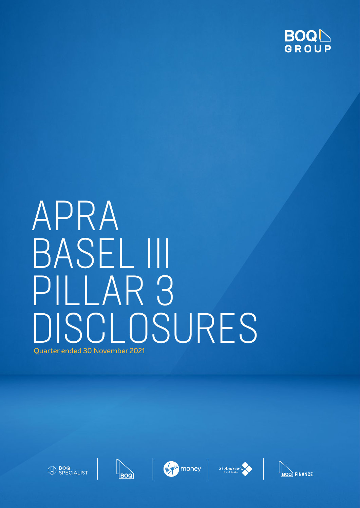

# APRA BASEL III PILLAR 3 DISCI OSURES Quarter ended 30 November 2021











**BOQ FINANCE**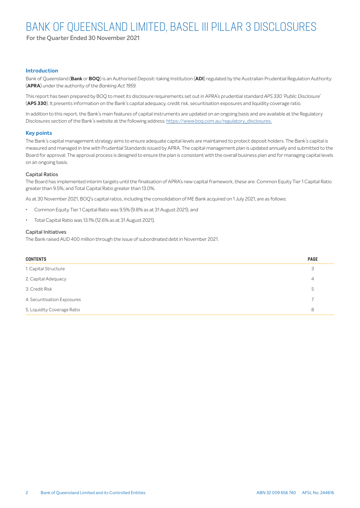For the Quarter Ended 30 November 2021

#### **Introduction**

Bank of Queensland (**Bank** or **BOQ**) is an Authorised Deposit-taking Institution (**ADI**) regulated by the Australian Prudential Regulation Authority (**APRA**) under the authority of the *Banking Act 1959*.

This report has been prepared by BOQ to meet its disclosure requirements set out in APRA's prudential standard *APS 330 'Public Disclosure'* (**APS 330**). It presents information on the Bank's capital adequacy, credit risk, securitisation exposures and liquidity coverage ratio.

In addition to this report, the Bank's main features of capital instruments are updated on an ongoing basis and are available at the Regulatory Disclosures section of the Bank's website at the following address: https://www.boq.com.au/regulatory\_disclosures.

#### **Key points**

The Bank's capital management strategy aims to ensure adequate capital levels are maintained to protect deposit holders. The Bank's capital is measured and managed in line with Prudential Standards issued by APRA. The capital management plan is updated annually and submitted to the Board for approval. The approval process is designed to ensure the plan is consistent with the overall business plan and for managing capital levels on an ongoing basis.

#### Capital Ratios

The Board has implemented interim targets until the finalisation of APRA's new capital framework, these are: Common Equity Tier 1 Capital Ratio greater than 9.5%; and Total Capital Ratio greater than 13.0%.

As at 30 November 2021, BOQ's capital ratios, including the consolidation of ME Bank acquired on 1 July 2021, are as follows:

- Common Equity Tier 1 Capital Ratio was 9.5% (9.8% as at 31 August 2021); and
- Total Capital Ratio was 13.1% (12.6% as at 31 August 2021).

#### Capital Initiatives

The Bank raised AUD 400 million through the issue of subordinated debt in November 2021.

| <b>CONTENTS</b>             | <b>PAGE</b>    |
|-----------------------------|----------------|
| 1. Capital Structure        | 3              |
| 2. Capital Adequacy         | $\overline{4}$ |
| 3. Credit Risk              | 5              |
| 4. Securitisation Exposures | $\overline{7}$ |
| 5. Liquidity Coverage Ratio | 8              |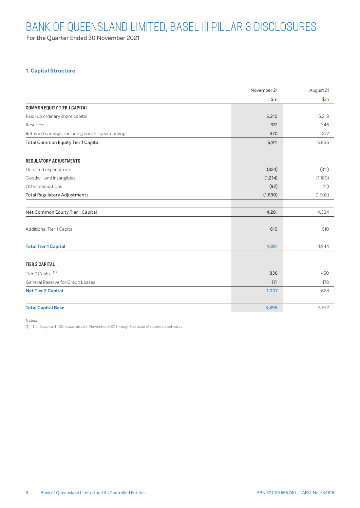For the Quarter Ended 30 November 2021

### <span id="page-2-0"></span>**1. Capital Structure**

|                                                    | November 21    | August 21 |
|----------------------------------------------------|----------------|-----------|
|                                                    | $\mathsf{S}$ m | \$m\$     |
| <b>COMMON EQUITY TIER 1 CAPITAL</b>                |                |           |
| Paid-up ordinary share capital                     | 5,210          | 5,213     |
| Reserves                                           | 331            | 346       |
| Retained earnings, including current year earnings | 370            | 277       |
| <b>Total Common Equity Tier 1 Capital</b>          | 5,911          | 5,836     |
| <b>REGULATORY ADJUSTMENTS</b>                      |                |           |
| Deferred expenditure                               | (324)          | (311)     |
| Goodwill and intangibles                           | (1, 214)       | (1,180)   |
| Other deductions                                   | (92)           | (11)      |
| <b>Total Regulatory Adjustments</b>                | (1,630)        | (1,502)   |
| Net Common Equity Tier 1 Capital                   | 4,281          | 4,334     |
| Additional Tier 1 Capital                          | 610            | 610       |
| <b>Total Tier 1 Capital</b>                        | 4,891          | 4,944     |
| <b>TIER 2 CAPITAL</b>                              |                |           |
| Tier 2 Capital <sup>(1)</sup>                      | 836            | 450       |
| General Reserve for Credit Losses                  | 171            | 178       |
| <b>Net Tier 2 Capital</b>                          | 1,007          | 628       |
|                                                    |                |           |
| <b>Total Capital Base</b>                          | 5,898          | 5,572     |

Notes:

(1) Tier 2 capital \$400m was raised in November 2021 through the issue of subordinated notes.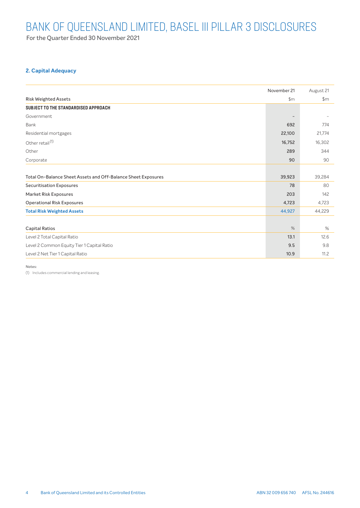For the Quarter Ended 30 November 2021

### <span id="page-3-0"></span>**2. Capital Adequacy**

|                                                               | November 21   | August 21     |
|---------------------------------------------------------------|---------------|---------------|
| <b>Risk Weighted Assets</b>                                   | $\mathsf{Sm}$ | $\mathsf{Sm}$ |
| SUBJECT TO THE STANDARDISED APPROACH                          |               |               |
| Government                                                    |               |               |
| Bank                                                          | 692           | 774           |
| Residential mortgages                                         | 22,100        | 21,774        |
| Other retail <sup>(1)</sup>                                   | 16,752        | 16,302        |
| Other                                                         | 289           | 344           |
| Corporate                                                     | 90            | 90            |
|                                                               |               |               |
| Total On-Balance Sheet Assets and Off-Balance Sheet Exposures | 39,923        | 39,284        |
| <b>Securitisation Exposures</b>                               | 78            | 80            |
| <b>Market Risk Exposures</b>                                  | 203           | 142           |
| <b>Operational Risk Exposures</b>                             | 4,723         | 4,723         |
| <b>Total Risk Weighted Assets</b>                             | 44,927        | 44,229        |
|                                                               |               |               |
| <b>Capital Ratios</b>                                         | %             | %             |
| Level 2 Total Capital Ratio                                   | 13.1          | 12.6          |
| Level 2 Common Equity Tier 1 Capital Ratio                    | 9.5           | 9.8           |
| Level 2 Net Tier 1 Capital Ratio                              | 10.9          | 11.2          |

Notes:

(1) Includes commercial lending and leasing.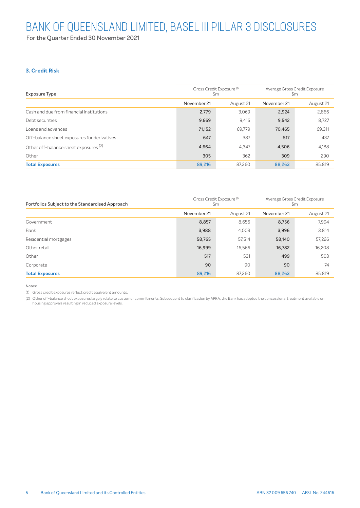For the Quarter Ended 30 November 2021

## <span id="page-4-0"></span>**3. Credit Risk**

| <b>Exposure Type</b>                             | \$m         | Gross Credit Exposure <sup>(1)</sup> | Average Gross Credit Exposure<br>\$m |           |  |
|--------------------------------------------------|-------------|--------------------------------------|--------------------------------------|-----------|--|
|                                                  | November 21 | August 21                            |                                      | August 21 |  |
| Cash and due from financial institutions         | 2,779       | 3,069                                | 2,924                                | 2,866     |  |
| Debt securities                                  | 9,669       | 9,416                                | 9,542                                | 8,727     |  |
| Loans and advances                               | 71,152      | 69.779                               | 70,465                               | 69,311    |  |
| Off-balance sheet exposures for derivatives      | 647         | 387                                  | 517                                  | 437       |  |
| Other off-balance sheet exposures <sup>(2)</sup> | 4,664       | 4.347                                | 4,506                                | 4,188     |  |
| Other                                            | 305         | 362                                  | 309                                  | 290       |  |
| <b>Total Exposures</b>                           | 89,216      | 87.360                               | 88,263                               | 85,819    |  |

| Portfolios Subject to the Standardised Approach | \$m         | Gross Credit Exposure <sup>(1)</sup> | Average Gross Credit Exposure<br>$\mathsf{Sm}$ |           |  |
|-------------------------------------------------|-------------|--------------------------------------|------------------------------------------------|-----------|--|
|                                                 | November 21 | August 21                            | November 21                                    | August 21 |  |
| Government                                      | 8,857       | 8,656                                | 8,756                                          | 7.994     |  |
| Bank                                            | 3,988       | 4,003                                | 3,996                                          | 3,814     |  |
| Residential mortgages                           | 58,765      | 57,514                               | 58,140                                         | 57,226    |  |
| Other retail                                    | 16,999      | 16,566                               | 16,782                                         | 16,208    |  |
| Other                                           | 517         | 531                                  | 499                                            | 503       |  |
| Corporate                                       | 90          | 90                                   | 90                                             | 74        |  |
| <b>Total Exposures</b>                          | 89,216      | 87,360                               | 88,263                                         | 85,819    |  |

#### Notes:

(1) Gross credit exposures reflect credit equivalent amounts.

(2) Other off-balance sheet exposures largely relate to customer commitments. Subsequent to clarification by APRA, the Bank has adopted the concessional treatment available on housing approvals resulting in reduced exposure levels.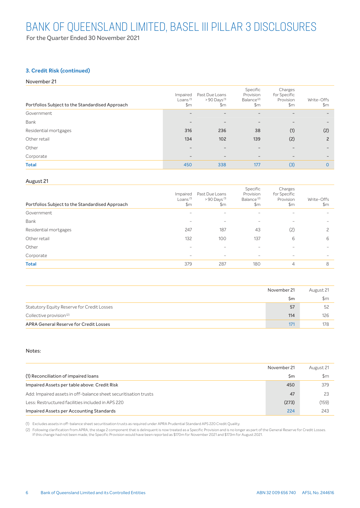For the Quarter Ended 30 November 2021

### **3. Credit Risk (continued)**

#### November 21

| Portfolios Subject to the Standardised Approach | Impaired<br>Loans <sup>(1)</sup><br>\$m | Past Due Loans<br>$>90$ Days <sup>(1)</sup><br>\$m | Specific<br>Provision<br>Balance <sup>(2)</sup><br>\$m | Charges<br>for Specific<br>Provision<br>\$m\$ | Write-Offs<br>$\mathsf{Sm}$ |
|-------------------------------------------------|-----------------------------------------|----------------------------------------------------|--------------------------------------------------------|-----------------------------------------------|-----------------------------|
| Government                                      |                                         | $\overline{\phantom{0}}$                           | $\overline{\phantom{a}}$                               |                                               | $\qquad \qquad -$           |
| Bank                                            | $\overline{\phantom{0}}$                | $\overline{\phantom{0}}$                           | $\overline{\phantom{a}}$                               |                                               | $\qquad \qquad -$           |
| Residential mortgages                           | 316                                     | 236                                                | 38                                                     | (1)                                           | (2)                         |
| Other retail                                    | 134                                     | 102                                                | 139                                                    | (2)                                           | $\overline{c}$              |
| Other                                           |                                         | -                                                  |                                                        |                                               |                             |
| Corporate                                       | $-$                                     | $\overline{\phantom{a}}$                           | $\overline{\phantom{a}}$                               | $-$                                           | $\overline{\phantom{0}}$    |
| <b>Total</b>                                    | 450                                     | 338                                                | 177                                                    | (3)                                           | $\Omega$                    |

#### August 21

| Impaired<br>Loans <sup>(1)</sup><br>\$m | Past Due Loans<br>$>90$ Days $(1)$<br>\$m | Specific<br>Provision<br>Balance <sup>(2)</sup><br>$\mathsf{Sm}$ | Charges<br>for Specific<br>Provision<br>$\mathsf{Sm}$ | Write-Offs<br>\$m        |
|-----------------------------------------|-------------------------------------------|------------------------------------------------------------------|-------------------------------------------------------|--------------------------|
| $\overline{\phantom{a}}$                | $\overline{\phantom{a}}$                  | $\sim$                                                           | $\overline{\phantom{a}}$                              | $\overline{\phantom{a}}$ |
|                                         | -                                         | -                                                                |                                                       |                          |
| 247                                     | 187                                       | 43                                                               | (2)                                                   | っ                        |
| 132                                     | 100                                       | 137                                                              | 6                                                     | 6                        |
| $\sim$                                  | $\overline{\phantom{a}}$                  | $\overline{\phantom{a}}$                                         |                                                       | $\overline{\phantom{a}}$ |
| $\sim$                                  | $\overline{\phantom{m}}$                  | $\sim$                                                           | $\overline{\phantom{a}}$                              | $\sim$                   |
| 379                                     | 287                                       | 180                                                              | 4                                                     | 8                        |
|                                         |                                           |                                                                  |                                                       |                          |

|                                               | November 21 | August 21 |
|-----------------------------------------------|-------------|-----------|
|                                               | \$m         | \$m       |
| Statutory Equity Reserve for Credit Losses    | 57          | 52        |
| Collective provision <sup>(2)</sup>           | 114         | 126       |
| <b>APRA General Reserve for Credit Losses</b> | 171         |           |

#### Notes:

|                                                                 | November 21 | August 21     |
|-----------------------------------------------------------------|-------------|---------------|
| (1) Reconciliation of impaired loans                            | \$m         | $\mathsf{Sm}$ |
| Impaired Assets per table above: Credit Risk                    | 450         | 379           |
| Add: Impaired assets in off-balance sheet securitisation trusts | 47          | 23            |
| Less: Restructured facilities included in APS 220               | (273)       | (159)         |
| Impaired Assets per Accounting Standards                        | 224         | 243           |

(1) Excludes assets in off-balance sheet securitisation trusts as required under APRA Prudential Standard APS 220 Credit Quality.

(2) Following clarification from APRA, the stage 2 component that is delinquent is now treated as a Specific Provision and is no longer as part of the General Reserve for Credit Losses. If this change had not been made, the Specific Provision would have been reported as \$170m for November 2021 and \$173m for August 2021.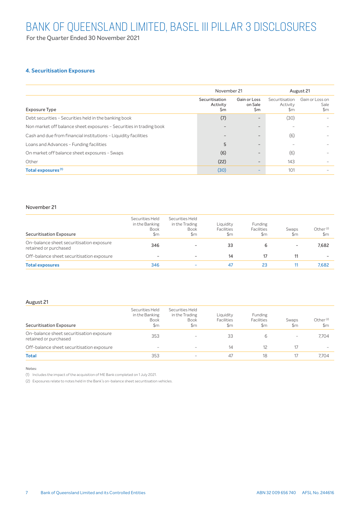For the Quarter Ended 30 November 2021

### <span id="page-6-0"></span>**4. Securitisation Exposures**

|                                                                     | November 21                      |                                | August 21                                   |                                          |
|---------------------------------------------------------------------|----------------------------------|--------------------------------|---------------------------------------------|------------------------------------------|
| <b>Exposure Type</b>                                                | Securitisation<br>Activity<br>Sm | Gain or Loss<br>on Sale<br>\$m | Securitisation<br>Activity<br>$\mathsf{Sm}$ | Gain or Loss on<br>Sale<br>$\mathsf{Sm}$ |
| Debt securities - Securities held in the banking book               | (7)                              | $\overline{\phantom{a}}$       | (30)                                        |                                          |
| Non market off balance sheet exposures - Securities in trading book |                                  | $\overline{\phantom{a}}$       |                                             |                                          |
| Cash and due from financial institutions - Liquidity facilities     |                                  | $\overline{\phantom{a}}$       | (6)                                         |                                          |
| Loans and Advances - Funding facilities                             | 5                                | $\overline{\phantom{0}}$       |                                             |                                          |
| On market off balance sheet exposures - Swaps                       | (6)                              | -                              | (6)                                         |                                          |
| Other                                                               | (22)                             | $\overline{\phantom{0}}$       | 143                                         |                                          |
| Total exposures <sup>(1)</sup>                                      | (30)                             | -                              | 101                                         |                                          |

#### November 21

| <b>Securitisation Exposure</b>                                    | Securities Held<br>in the Banking<br><b>Book</b><br>\$m | Securities Held<br>in the Trading<br><b>Book</b><br>\$m | Liquidity<br><b>Facilities</b><br>\$m | <b>Funding</b><br><b>Facilities</b><br>\$m | Swaps<br>$\mathsf{Sm}$   | Other <sup>(2)</sup><br>$\mathsf{Sm}$ |
|-------------------------------------------------------------------|---------------------------------------------------------|---------------------------------------------------------|---------------------------------------|--------------------------------------------|--------------------------|---------------------------------------|
| On-balance sheet securitisation exposure<br>retained or purchased | 346                                                     | -                                                       | 33                                    | 6                                          | $\overline{\phantom{a}}$ | 7.682                                 |
| Off-balance sheet securitisation exposure                         | -                                                       | $\overline{\phantom{a}}$                                | 14                                    | 17                                         | 11                       |                                       |
| <b>Total exposures</b>                                            | 346                                                     | -                                                       | 47                                    | 23                                         |                          | 7.682                                 |

#### August 21

| Securities Held<br>in the Banking<br><b>Book</b><br>$\mathsf{Sm}$ | Securities Held<br>in the Trading<br><b>Book</b><br>\$m | Liquidity<br><b>Facilities</b><br>\$m | <b>Funding</b><br><b>Facilities</b><br>\$m | Swaps<br>\$m             | Other <sup>(2)</sup><br>\$m |
|-------------------------------------------------------------------|---------------------------------------------------------|---------------------------------------|--------------------------------------------|--------------------------|-----------------------------|
| 353                                                               | $\sim$                                                  | 33                                    | 6                                          | $\overline{\phantom{a}}$ | 7.704                       |
| $\sim$                                                            | $\sim$                                                  | 14                                    | 12                                         | 17                       | $\sim$                      |
| 353                                                               | $\sim$                                                  | 47                                    | 18                                         | 17                       | 7.704                       |
|                                                                   |                                                         |                                       |                                            |                          |                             |

Notes:

(1) Includes the impact of the acquisition of ME Bank completed on 1 July 2021.

(2) Exposures relate to notes held in the Bank's on-balance sheet securitisation vehicles.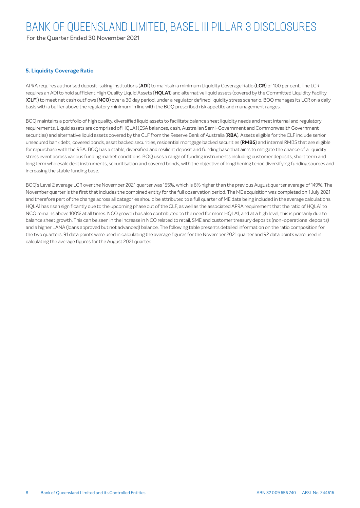For the Quarter Ended 30 November 2021

### <span id="page-7-0"></span>**5. Liquidity Coverage Ratio**

APRA requires authorised deposit-taking institutions (**ADI**) to maintain a minimum Liquidity Coverage Ratio (**LCR**) of 100 per cent. The LCR requires an ADI to hold sufficient High Quality Liquid Assets (**HQLA1**) and alternative liquid assets (covered by the Committed Liquidity Facility (**CLF**)) to meet net cash outflows (**NCO**) over a 30 day period, under a regulator defined liquidity stress scenario. BOQ manages its LCR on a daily basis with a buffer above the regulatory minimum in line with the BOQ prescribed risk appetite and management ranges.

BOQ maintains a portfolio of high quality, diversified liquid assets to facilitate balance sheet liquidity needs and meet internal and regulatory requirements. Liquid assets are comprised of HQLA1 (ESA balances, cash, Australian Semi-Government and Commonwealth Government securities) and alternative liquid assets covered by the CLF from the Reserve Bank of Australia (**RBA**). Assets eligible for the CLF include senior unsecured bank debt, covered bonds, asset backed securities, residential mortgage backed securities (**RMBS**) and internal RMBS that are eligible for repurchase with the RBA. BOQ has a stable, diversified and resilient deposit and funding base that aims to mitigate the chance of a liquidity stress event across various funding market conditions. BOQ uses a range of funding instruments including customer deposits, short term and long term wholesale debt instruments, securitisation and covered bonds, with the objective of lengthening tenor, diversifying funding sources and increasing the stable funding base.

BOQ's Level 2 average LCR over the November 2021 quarter was 155%, which is 6% higher than the previous August quarter average of 149%. The November quarter is the first that includes the combined entity for the full observation period. The ME acquisition was completed on 1 July 2021 and therefore part of the change across all categories should be attributed to a full quarter of ME data being included in the average calculations. HQLA1 has risen significantly due to the upcoming phase out of the CLF, as well as the associated APRA requirement that the ratio of HQLA1 to NCO remains above 100% at all times. NCO growth has also contributed to the need for more HQLA1, and at a high level, this is primarily due to balance sheet growth. This can be seen in the increase in NCO related to retail, SME and customer treasury deposits (non-operational deposits) and a higher LANA (loans approved but not advanced) balance. The following table presents detailed information on the ratio composition for the two quarters. 91 data points were used in calculating the average figures for the November 2021 quarter and 92 data points were used in calculating the average figures for the August 2021 quarter.